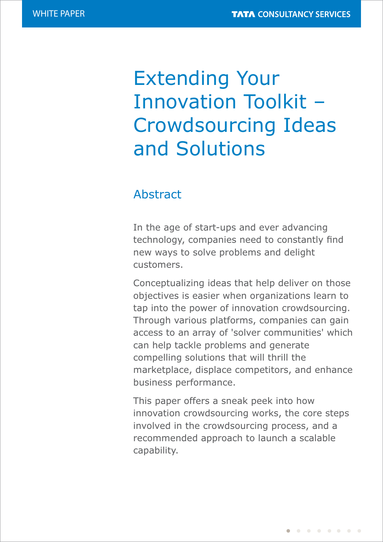# Extending Your Innovation Toolkit – Crowdsourcing Ideas and Solutions

# Abstract

In the age of start-ups and ever advancing<br>
In the age of start-ups and ever advancing secondrogy, companies need to constantly midsuppliers, and customers. customers. technology, companies need to constantly find new ways to solve problems and delight

Conceptualizing ideas that help deliver on those objectives is easier when organizations learn to tap into the power of innovation crowdsourcing. Through various platforms, companies can gain access to an array of 'solver communities' which can help tackle problems and generate componing colucions that will think the relations with key suppliers with the customers performance. beyond the transactional level to unlock and compelling solutions that will thrill the marketplace, displace competitors, and enhance

This paper offers a sneak peek into how involved in the crowdsourcing process, and a recommended approach to launch a scalable capability. It also on how companies guidance on  $\mathcal{I}$ innovation crowdsourcing works, the core steps capability.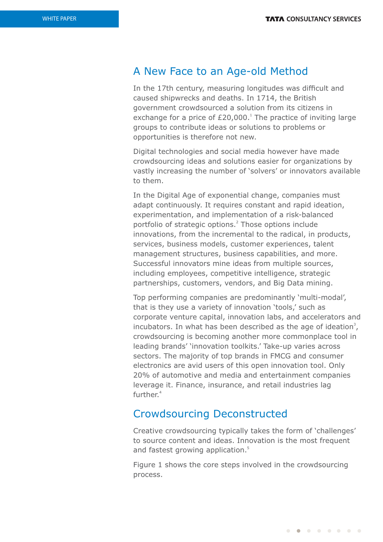## A New Face to an Age-old Method

In the 17th century, measuring longitudes was difficult and caused shipwrecks and deaths. In 1714, the British government crowdsourced a solution from its citizens in exchange for a price of  $£20,000.<sup>1</sup>$  The practice of inviting large groups to contribute ideas or solutions to problems or opportunities is therefore not new.

Digital technologies and social media however have made crowdsourcing ideas and solutions easier for organizations by vastly increasing the number of 'solvers' or innovators available to them.

In the Digital Age of exponential change, companies must adapt continuously. It requires constant and rapid ideation, experimentation, and implementation of a risk-balanced portfolio of strategic options.<sup>2</sup> Those options include innovations, from the incremental to the radical, in products, services, business models, customer experiences, talent management structures, business capabilities, and more. Successful innovators mine ideas from multiple sources, including employees, competitive intelligence, strategic partnerships, customers, vendors, and Big Data mining.

Top performing companies are predominantly 'multi-modal', that is they use a variety of innovation 'tools,' such as corporate venture capital, innovation labs, and accelerators and incubators. In what has been described as the age of ideation<sup>3</sup>, crowdsourcing is becoming another more commonplace tool in leading brands' 'innovation toolkits.' Take-up varies across sectors. The majority of top brands in FMCG and consumer electronics are avid users of this open innovation tool. Only 20% of automotive and media and entertainment companies leverage it. Finance, insurance, and retail industries lag further.<sup>4</sup>

## Crowdsourcing Deconstructed

Creative crowdsourcing typically takes the form of 'challenges' to source content and ideas. Innovation is the most frequent and fastest growing application.<sup>5</sup>

Figure 1 shows the core steps involved in the crowdsourcing process.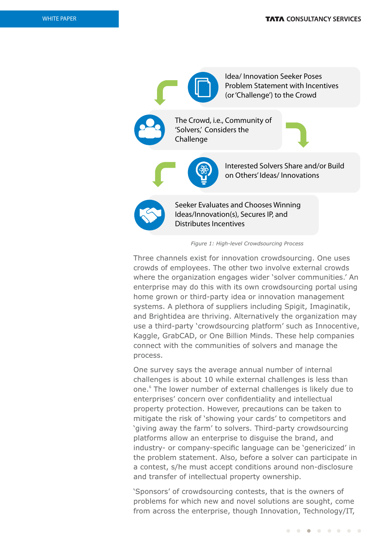

*Figure 1: High-level Crowdsourcing Process*

Three channels exist for innovation crowdsourcing. One uses crowds of employees. The other two involve external crowds where the organization engages wider 'solver communities.' An enterprise may do this with its own crowdsourcing portal using home grown or third-party idea or innovation management systems. A plethora of suppliers including Spigit, Imaginatik, and Brightidea are thriving. Alternatively the organization may use a third-party 'crowdsourcing platform' such as Innocentive, Kaggle, GrabCAD, or One Billion Minds. These help companies connect with the communities of solvers and manage the process.

One survey says the average annual number of internal challenges is about 10 while external challenges is less than one.<sup>6</sup> The lower number of external challenges is likely due to enterprises' concern over confidentiality and intellectual property protection. However, precautions can be taken to mitigate the risk of 'showing your cards' to competitors and 'giving away the farm' to solvers. Third-party crowdsourcing platforms allow an enterprise to disguise the brand, and industry- or company-specific language can be 'genericized' in the problem statement. Also, before a solver can participate in a contest, s/he must accept conditions around non-disclosure and transfer of intellectual property ownership.

'Sponsors' of crowdsourcing contests, that is the owners of problems for which new and novel solutions are sought, come from across the enterprise, though Innovation, Technology/IT,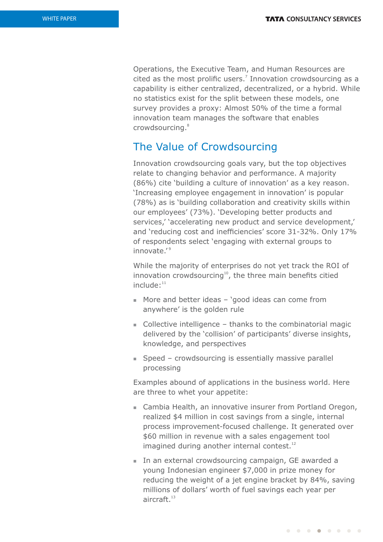Operations, the Executive Team, and Human Resources are cited as the most prolific users. $<sup>7</sup>$  Innovation crowdsourcing as a</sup> capability is either centralized, decentralized, or a hybrid. While no statistics exist for the split between these models, one survey provides a proxy: Almost 50% of the time a formal innovation team manages the software that enables 8 crowdsourcing.

## The Value of Crowdsourcing

Innovation crowdsourcing goals vary, but the top objectives relate to changing behavior and performance. A majority (86%) cite 'building a culture of innovation' as a key reason. 'Increasing employee engagement in innovation' is popular (78%) as is 'building collaboration and creativity skills within our employees' (73%). 'Developing better products and services,' 'accelerating new product and service development,' and 'reducing cost and inefficiencies' score 31-32%. Only 17% of respondents select 'engaging with external groups to innovate.'<sup>9</sup>

While the majority of enterprises do not yet track the ROI of innovation crowdsourcing<sup>10</sup>, the three main benefits citied  $include:$ <sup>11</sup>

- More and better ideas 'good ideas can come from anywhere' is the golden rule
- $\blacksquare$  Collective intelligence thanks to the combinatorial magic delivered by the 'collision' of participants' diverse insights, knowledge, and perspectives
- $\Box$  Speed crowdsourcing is essentially massive parallel processing

Examples abound of applications in the business world. Here are three to whet your appetite:

- Cambia Health, an innovative insurer from Portland Oregon, realized \$4 million in cost savings from a single, internal process improvement-focused challenge. It generated over \$60 million in revenue with a sales engagement tool imagined during another internal contest.<sup>12</sup>
- In an external crowdsourcing campaign, GE awarded a young Indonesian engineer \$7,000 in prize money for reducing the weight of a jet engine bracket by 84%, saving millions of dollars' worth of fuel savings each year per  $aircraft.<sup>13</sup>$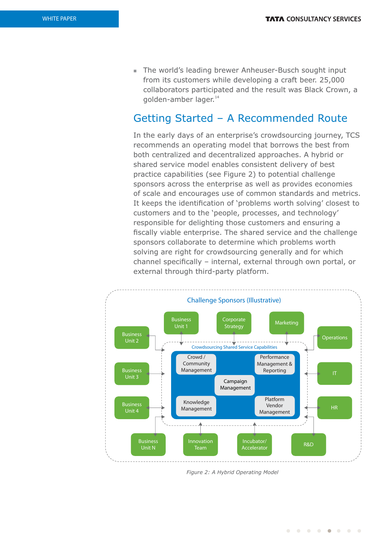■ The world's leading brewer Anheuser-Busch sought input from its customers while developing a craft beer. 25,000 collaborators participated and the result was Black Crown, a golden-amber lager.<sup>14</sup>

# Getting Started – A Recommended Route

In the early days of an enterprise's crowdsourcing journey, TCS recommends an operating model that borrows the best from both centralized and decentralized approaches. A hybrid or shared service model enables consistent delivery of best practice capabilities (see Figure 2) to potential challenge sponsors across the enterprise as well as provides economies of scale and encourages use of common standards and metrics. It keeps the identification of 'problems worth solving' closest to customers and to the 'people, processes, and technology' responsible for delighting those customers and ensuring a fiscally viable enterprise. The shared service and the challenge sponsors collaborate to determine which problems worth solving are right for crowdsourcing generally and for which channel specifically - internal, external through own portal, or external through third-party platform.



*Figure 2: A Hybrid Operating Model*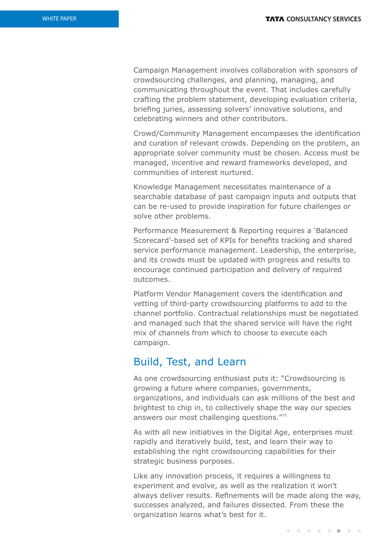Campaign Management involves collaboration with sponsors of crowdsourcing challenges, and planning, managing, and communicating throughout the event. That includes carefully crafting the problem statement, developing evaluation criteria, briefing juries, assessing solvers' innovative solutions, and celebrating winners and other contributors.

Crowd/Community Management encompasses the identification and curation of relevant crowds. Depending on the problem, an appropriate solver community must be chosen. Access must be managed, incentive and reward frameworks developed, and communities of interest nurtured.

Knowledge Management necessitates maintenance of a searchable database of past campaign inputs and outputs that can be re-used to provide inspiration for future challenges or solve other problems.

Performance Measurement & Reporting requires a 'Balanced Scorecard'-based set of KPIs for benefits tracking and shared service performance management. Leadership, the enterprise, and its crowds must be updated with progress and results to encourage continued participation and delivery of required outcomes.

Platform Vendor Management covers the identification and vetting of third-party crowdsourcing platforms to add to the channel portfolio. Contractual relationships must be negotiated and managed such that the shared service will have the right mix of channels from which to choose to execute each campaign.

### Build, Test, and Learn

As one crowdsourcing enthusiast puts it: "Crowdsourcing is growing a future where companies, governments, organizations, and individuals can ask millions of the best and brightest to chip in, to collectively shape the way our species answers our most challenging questions."<sup>15</sup>

As with all new initiatives in the Digital Age, enterprises must rapidly and iteratively build, test, and learn their way to establishing the right crowdsourcing capabilities for their strategic business purposes.

Like any innovation process, it requires a willingness to experiment and evolve, as well as the realization it won't always deliver results. Refinements will be made along the way, successes analyzed, and failures dissected. From these the organization learns what's best for it.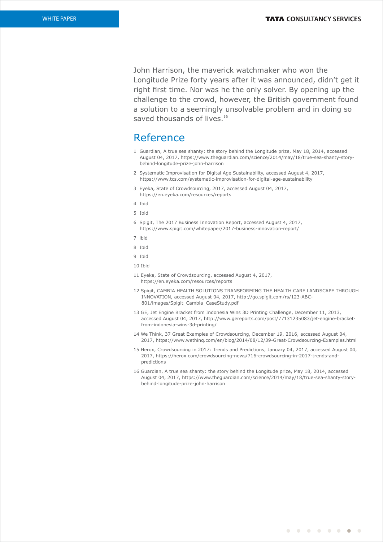John Harrison, the maverick watchmaker who won the Longitude Prize forty years after it was announced, didn't get it right first time. Nor was he the only solver. By opening up the challenge to the crowd, however, the British government found a solution to a seemingly unsolvable problem and in doing so saved thousands of lives.<sup>16</sup>

## Reference

- 1 Guardian, A true sea shanty: the story behind the Longitude prize, May 18, 2014, accessed August 04, 2017, https://www.theguardian.com/science/2014/may/18/true-sea-shanty-storybehind-longitude-prize-john-harrison
- 2 Systematic Improvisation for Digital Age Sustainability, accessed August 4, 2017, https://www.tcs.com/systematic-improvisation-for-digital-age-sustainability
- 3 Eyeka, State of Crowdsourcing, 2017, accessed August 04, 2017, https://en.eyeka.com/resources/reports
- 4 Ibid
- 5 Ibid
- 6 Spigit, The 2017 Business Innovation Report, accessed August 4, 2017, https://www.spigit.com/whitepaper/2017-business-innovation-report/
- 7 lbid
- 8 Ibid
- 9 Ibid
- 10 Ibid
- 11 Eyeka, State of Crowdsourcing, accessed August 4, 2017, https://en.eyeka.com/resources/reports
- 12 Spigit, CAMBIA HEALTH SOLUTIONS TRANSFORMING THE HEALTH CARE LANDSCAPE THROUGH INNOVATION, accessed August 04, 2017, http://go.spigit.com/rs/123-ABC-801/images/Spigit\_Cambia\_CaseStudy.pdf
- 13 GE, Jet Engine Bracket from Indonesia Wins 3D Printing Challenge, December 11, 2013, accessed August 04, 2017, http://www.gereports.com/post/77131235083/jet-engine-bracketfrom-indonesia-wins-3d-printing/
- 14 We Think, 37 Great Examples of Crowdsourcing, December 19, 2016, accessed August 04, 2017, https://www.wethinq.com/en/blog/2014/08/12/39-Great-Crowdsourcing-Examples.html
- 15 Herox, Crowdsourcing in 2017: Trends and Predictions, January 04, 2017, accessed August 04, 2017, https://herox.com/crowdsourcing-news/716-crowdsourcing-in-2017-trends-andpredictions
- 16 Guardian, A true sea shanty: the story behind the Longitude prize, May 18, 2014, accessed August 04, 2017, https://www.theguardian.com/science/2014/may/18/true-sea-shanty-storybehind-longitude-prize-john-harrison